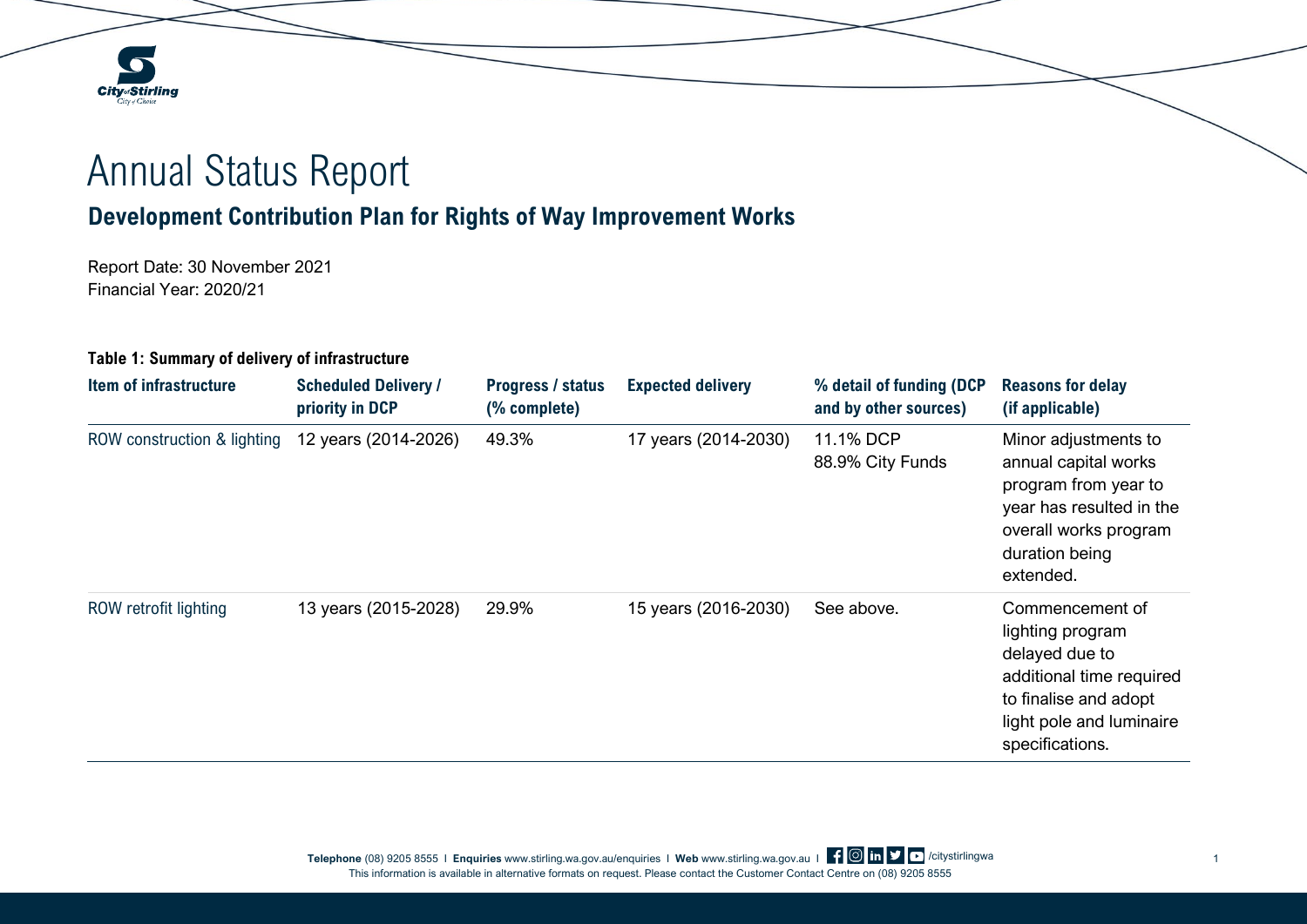## Annual Status Report

## **Development Contribution Plan for Rights of Way Improvement Works**

Report Date: 30 November 2021 Financial Year: 2020/21

**City**<sub>d</sub>Stirling City & Choic

## **Table 1: Summary of delivery of infrastructure**

| Item of infrastructure      | <b>Scheduled Delivery /</b><br>priority in DCP | <b>Progress / status</b><br>(% complete) | <b>Expected delivery</b> | % detail of funding (DCP<br>and by other sources) | <b>Reasons for delay</b><br>(if applicable)                                                                                                               |
|-----------------------------|------------------------------------------------|------------------------------------------|--------------------------|---------------------------------------------------|-----------------------------------------------------------------------------------------------------------------------------------------------------------|
| ROW construction & lighting | 12 years (2014-2026)                           | 49.3%                                    | 17 years (2014-2030)     | 11.1% DCP<br>88.9% City Funds                     | Minor adjustments to<br>annual capital works<br>program from year to<br>year has resulted in the<br>overall works program<br>duration being<br>extended.  |
| ROW retrofit lighting       | 13 years (2015-2028)                           | 29.9%                                    | 15 years (2016-2030)     | See above.                                        | Commencement of<br>lighting program<br>delayed due to<br>additional time required<br>to finalise and adopt<br>light pole and luminaire<br>specifications. |